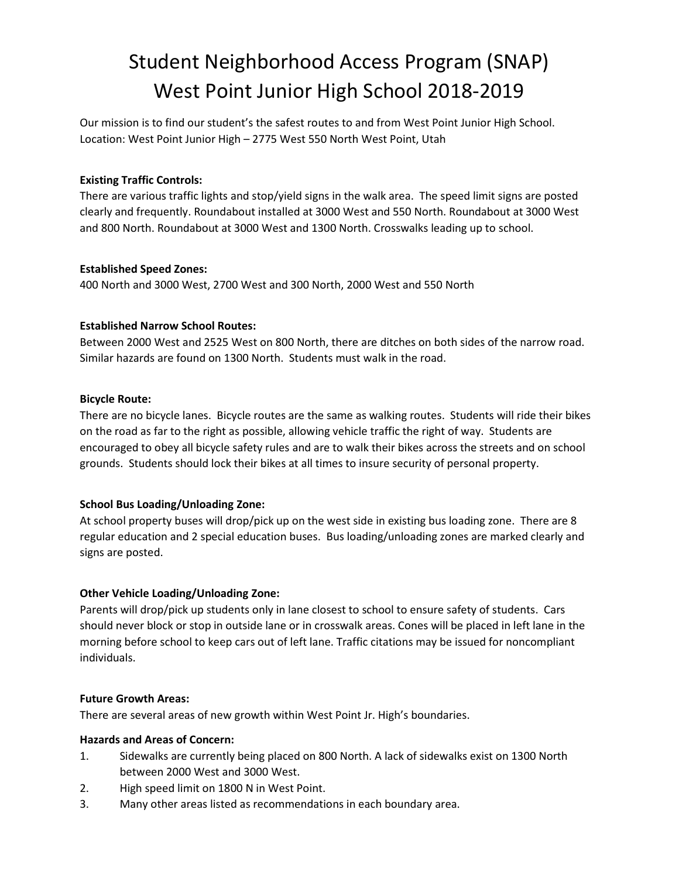# Student Neighborhood Access Program (SNAP) West Point Junior High School 2018-2019

Our mission is to find our student's the safest routes to and from West Point Junior High School. Location: West Point Junior High – 2775 West 550 North West Point, Utah

## Existing Traffic Controls:

There are various traffic lights and stop/yield signs in the walk area. The speed limit signs are posted clearly and frequently. Roundabout installed at 3000 West and 550 North. Roundabout at 3000 West and 800 North. Roundabout at 3000 West and 1300 North. Crosswalks leading up to school.

## Established Speed Zones:

400 North and 3000 West, 2700 West and 300 North, 2000 West and 550 North

## Established Narrow School Routes:

Between 2000 West and 2525 West on 800 North, there are ditches on both sides of the narrow road. Similar hazards are found on 1300 North. Students must walk in the road.

## Bicycle Route:

There are no bicycle lanes. Bicycle routes are the same as walking routes. Students will ride their bikes on the road as far to the right as possible, allowing vehicle traffic the right of way. Students are encouraged to obey all bicycle safety rules and are to walk their bikes across the streets and on school grounds. Students should lock their bikes at all times to insure security of personal property.

# School Bus Loading/Unloading Zone:

At school property buses will drop/pick up on the west side in existing bus loading zone. There are 8 regular education and 2 special education buses. Bus loading/unloading zones are marked clearly and signs are posted.

# Other Vehicle Loading/Unloading Zone:

Parents will drop/pick up students only in lane closest to school to ensure safety of students. Cars should never block or stop in outside lane or in crosswalk areas. Cones will be placed in left lane in the morning before school to keep cars out of left lane. Traffic citations may be issued for noncompliant individuals.

## Future Growth Areas:

There are several areas of new growth within West Point Jr. High's boundaries.

## Hazards and Areas of Concern:

- 1. Sidewalks are currently being placed on 800 North. A lack of sidewalks exist on 1300 North between 2000 West and 3000 West.
- 2. High speed limit on 1800 N in West Point.
- 3. Many other areas listed as recommendations in each boundary area.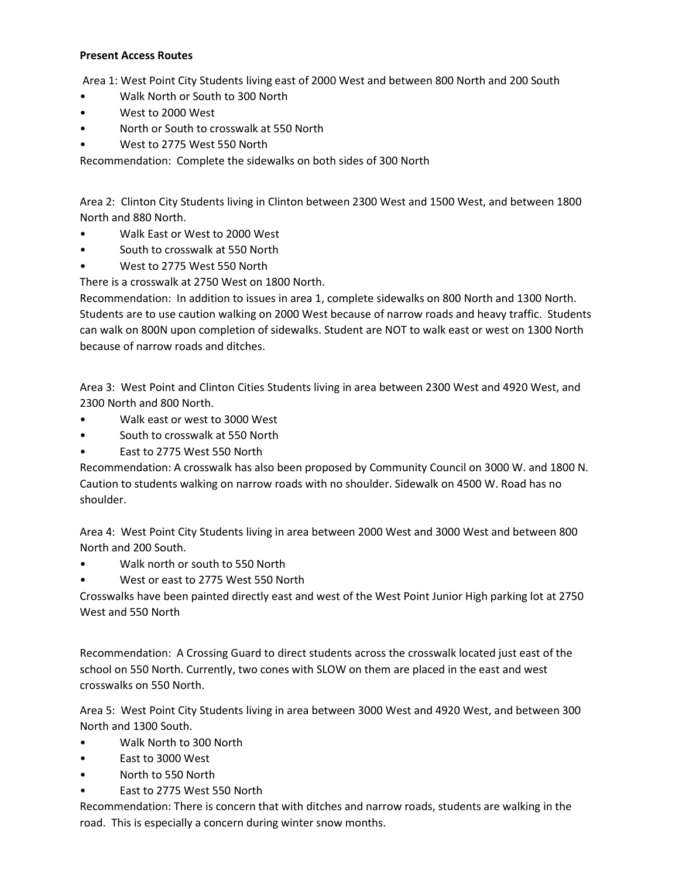### Present Access Routes

Area 1: West Point City Students living east of 2000 West and between 800 North and 200 South

- Walk North or South to 300 North
- West to 2000 West
- North or South to crosswalk at 550 North
- West to 2775 West 550 North

Recommendation: Complete the sidewalks on both sides of 300 North

Area 2: Clinton City Students living in Clinton between 2300 West and 1500 West, and between 1800 North and 880 North.

- Walk East or West to 2000 West
- South to crosswalk at 550 North
- West to 2775 West 550 North

There is a crosswalk at 2750 West on 1800 North.

Recommendation: In addition to issues in area 1, complete sidewalks on 800 North and 1300 North. Students are to use caution walking on 2000 West because of narrow roads and heavy traffic. Students can walk on 800N upon completion of sidewalks. Student are NOT to walk east or west on 1300 North because of narrow roads and ditches.

Area 3: West Point and Clinton Cities Students living in area between 2300 West and 4920 West, and 2300 North and 800 North.

- Walk east or west to 3000 West
- South to crosswalk at 550 North
- East to 2775 West 550 North

Recommendation: A crosswalk has also been proposed by Community Council on 3000 W. and 1800 N. Caution to students walking on narrow roads with no shoulder. Sidewalk on 4500 W. Road has no shoulder.

Area 4: West Point City Students living in area between 2000 West and 3000 West and between 800 North and 200 South.

- Walk north or south to 550 North
- West or east to 2775 West 550 North

Crosswalks have been painted directly east and west of the West Point Junior High parking lot at 2750 West and 550 North

Recommendation: A Crossing Guard to direct students across the crosswalk located just east of the school on 550 North. Currently, two cones with SLOW on them are placed in the east and west crosswalks on 550 North.

Area 5: West Point City Students living in area between 3000 West and 4920 West, and between 300 North and 1300 South.

- Walk North to 300 North
- East to 3000 West
- North to 550 North
- East to 2775 West 550 North

Recommendation: There is concern that with ditches and narrow roads, students are walking in the road. This is especially a concern during winter snow months.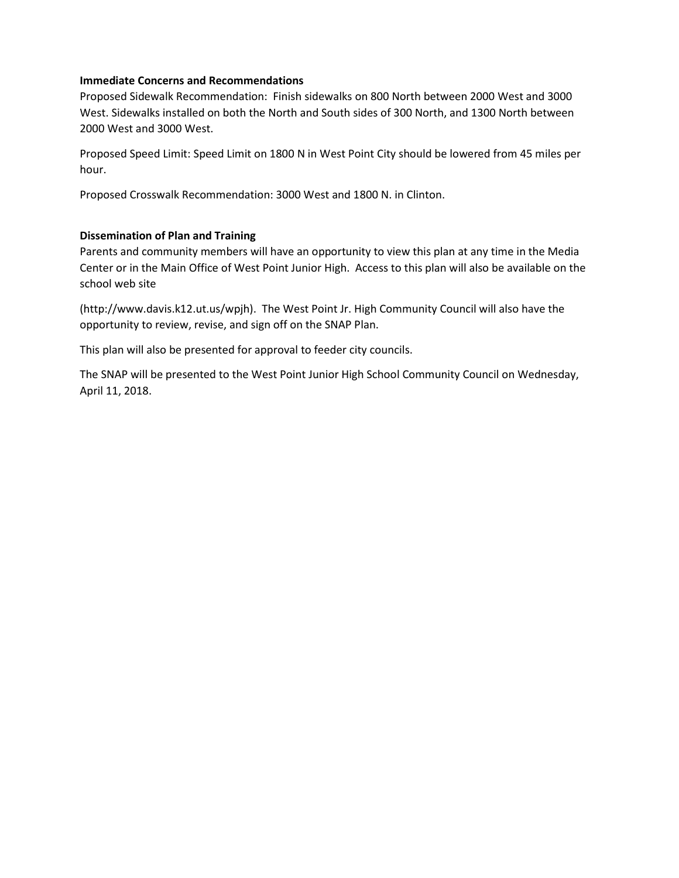## Immediate Concerns and Recommendations

Proposed Sidewalk Recommendation: Finish sidewalks on 800 North between 2000 West and 3000 West. Sidewalks installed on both the North and South sides of 300 North, and 1300 North between 2000 West and 3000 West.

Proposed Speed Limit: Speed Limit on 1800 N in West Point City should be lowered from 45 miles per hour.

Proposed Crosswalk Recommendation: 3000 West and 1800 N. in Clinton.

## Dissemination of Plan and Training

Parents and community members will have an opportunity to view this plan at any time in the Media Center or in the Main Office of West Point Junior High. Access to this plan will also be available on the school web site

(http://www.davis.k12.ut.us/wpjh). The West Point Jr. High Community Council will also have the opportunity to review, revise, and sign off on the SNAP Plan.

This plan will also be presented for approval to feeder city councils.

The SNAP will be presented to the West Point Junior High School Community Council on Wednesday, April 11, 2018.